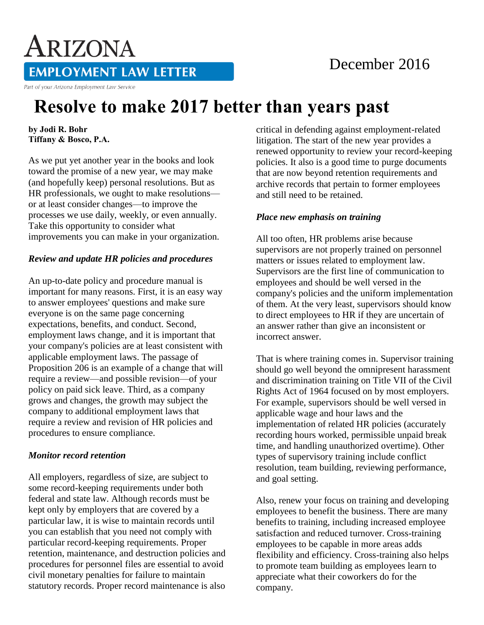# December 2016

**EMPLOYMENT LAW LETTER** 

Part of your Arizona Employment Law Service

ARIZONA

# **Resolve to make 2017 better than years past**

**by Jodi R. Bohr Tiffany & Bosco, P.A.** 

As we put yet another year in the books and look toward the promise of a new year, we may make (and hopefully keep) personal resolutions. But as HR professionals, we ought to make resolutions or at least consider changes—to improve the processes we use daily, weekly, or even annually. Take this opportunity to consider what improvements you can make in your organization.

#### *Review and update HR policies and procedures*

An up-to-date policy and procedure manual is important for many reasons. First, it is an easy way to answer employees' questions and make sure everyone is on the same page concerning expectations, benefits, and conduct. Second, employment laws change, and it is important that your company's policies are at least consistent with applicable employment laws. The passage of Proposition 206 is an example of a change that will require a review—and possible revision—of your policy on paid sick leave. Third, as a company grows and changes, the growth may subject the company to additional employment laws that require a review and revision of HR policies and procedures to ensure compliance.

#### *Monitor record retention*

All employers, regardless of size, are subject to some record-keeping requirements under both federal and state law. Although records must be kept only by employers that are covered by a particular law, it is wise to maintain records until you can establish that you need not comply with particular record-keeping requirements. Proper retention, maintenance, and destruction policies and procedures for personnel files are essential to avoid civil monetary penalties for failure to maintain statutory records. Proper record maintenance is also

critical in defending against employment-related litigation. The start of the new year provides a renewed opportunity to review your record-keeping policies. It also is a good time to purge documents that are now beyond retention requirements and archive records that pertain to former employees and still need to be retained.

## *Place new emphasis on training*

All too often, HR problems arise because supervisors are not properly trained on personnel matters or issues related to employment law. Supervisors are the first line of communication to employees and should be well versed in the company's policies and the uniform implementation of them. At the very least, supervisors should know to direct employees to HR if they are uncertain of an answer rather than give an inconsistent or incorrect answer.

That is where training comes in. Supervisor training should go well beyond the omnipresent harassment and discrimination training on Title VII of the Civil Rights Act of 1964 focused on by most employers. For example, supervisors should be well versed in applicable wage and hour laws and the implementation of related HR policies (accurately recording hours worked, permissible unpaid break time, and handling unauthorized overtime). Other types of supervisory training include conflict resolution, team building, reviewing performance, and goal setting.

Also, renew your focus on training and developing employees to benefit the business. There are many benefits to training, including increased employee satisfaction and reduced turnover. Cross-training employees to be capable in more areas adds flexibility and efficiency. Cross-training also helps to promote team building as employees learn to appreciate what their coworkers do for the company.